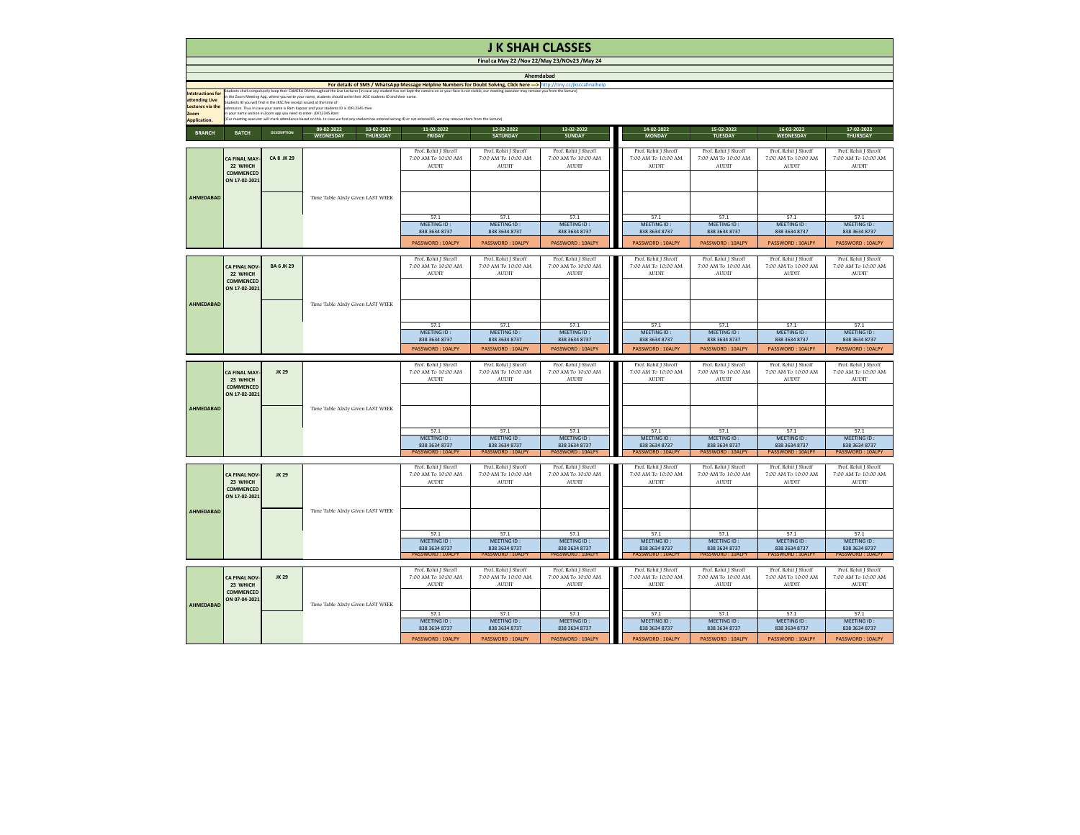|                                                                                                             |                                                                                       |                                                                                                                                             |                                                                                                                                                                                                                                                                                                                                                                                                                                                                                                                                                                                                     |                                                                        | <b>J K SHAH CLASSES</b>                                         |                                                                        |
|-------------------------------------------------------------------------------------------------------------|---------------------------------------------------------------------------------------|---------------------------------------------------------------------------------------------------------------------------------------------|-----------------------------------------------------------------------------------------------------------------------------------------------------------------------------------------------------------------------------------------------------------------------------------------------------------------------------------------------------------------------------------------------------------------------------------------------------------------------------------------------------------------------------------------------------------------------------------------------------|------------------------------------------------------------------------|-----------------------------------------------------------------|------------------------------------------------------------------------|
|                                                                                                             |                                                                                       |                                                                                                                                             |                                                                                                                                                                                                                                                                                                                                                                                                                                                                                                                                                                                                     |                                                                        | Final ca May 22 / Nov 22/May 23/NOv23 / May 24                  |                                                                        |
|                                                                                                             |                                                                                       |                                                                                                                                             | For details of SMS / WhatsApp Message Helpline Numbers for Doubt Solving, Click here ---> http://tiny.cc/jksccafinalhelp                                                                                                                                                                                                                                                                                                                                                                                                                                                                            |                                                                        | Ahemdabad                                                       |                                                                        |
| <b>Intstructions for</b><br>attending Live<br><b>Lectures via the</b><br><b>Zoom</b><br><b>Application.</b> |                                                                                       | Students ID you will find in the JKSC fee receipt issued at the time of<br>in your name section in Zoom app you need to enter- JDF12345 Ram | Students shall compulsorily keep their CAMERA ON throughout the Live Lectures (in case any student has not kept the camera on or your face is not visible, our meeting executor may remove you from the lecture)<br>In the Zoom Meeting App, where you write your name, students should write their JKSC students ID and their name.<br>admission. Thus in case your name is Ram Kapoor and your students ID is JDF12345 then<br>(Our meeting executor will mark attendance based on this. In case we find any student has entered wrong ID or not entered ID, we may remove them from the lecture) |                                                                        |                                                                 |                                                                        |
| <b>BRANCH</b>                                                                                               | <b>BATCH</b>                                                                          | <b>DESCRIPTION</b>                                                                                                                          | 10-02-2022<br>09-02-2022<br><b>WEDNESDAY</b><br><b>THURSDAY</b>                                                                                                                                                                                                                                                                                                                                                                                                                                                                                                                                     | 11-02-2022<br><b>FRIDAY</b>                                            | 12-02-2022<br><b>SATURDAY</b>                                   | 13-02-2022<br><b>SUNDAY</b>                                            |
|                                                                                                             | <b>CA FINAL MAY-</b><br>22 WHICH<br><b>COMMENCED</b><br>ON 17-02-2021                 | <b>CA 8 JK 29</b>                                                                                                                           |                                                                                                                                                                                                                                                                                                                                                                                                                                                                                                                                                                                                     | Prof. Rohit J Shroff<br>7:00 AM To 10:00 AM<br><b>AUDIT</b>            | Prof. Rohit J Shroff<br>7:00 AM To 10:00 AM<br><b>AUDIT</b>     | Prof. Rohit J Shroff<br>7:00 AM To 10:00 AM<br><b>AUDIT</b>            |
| <b>AHMEDABAD</b>                                                                                            |                                                                                       |                                                                                                                                             | Time Table Alrdy Given LAST WEEK                                                                                                                                                                                                                                                                                                                                                                                                                                                                                                                                                                    | 57.1                                                                   | 57.1                                                            | 57.1                                                                   |
|                                                                                                             |                                                                                       |                                                                                                                                             |                                                                                                                                                                                                                                                                                                                                                                                                                                                                                                                                                                                                     | <b>MEETING ID:</b><br>838 3634 8737                                    | MEETING ID:<br>838 3634 8737                                    | MEETING ID:<br>838 3634 8737                                           |
|                                                                                                             |                                                                                       |                                                                                                                                             |                                                                                                                                                                                                                                                                                                                                                                                                                                                                                                                                                                                                     | <b>PASSWORD: 10ALPY</b>                                                | <b>PASSWORD: 10ALPY</b>                                         | <b>PASSWORD: 10ALPY</b>                                                |
|                                                                                                             | <b>CA FINAL NOV-</b><br>22 WHICH<br><b>COMMENCED</b><br>ON 17-02-2021                 | <b>BA 6 JK 29</b>                                                                                                                           |                                                                                                                                                                                                                                                                                                                                                                                                                                                                                                                                                                                                     | Prof. Rohit J Shroff<br>7:00 AM To 10:00 AM<br><b>AUDIT</b>            | Prof. Rohit J Shroff<br>7:00 AM To 10:00 AM<br><b>AUDIT</b>     | Prof. Rohit J Shroff<br>7:00 AM To 10:00 AM<br><b>AUDIT</b>            |
| <b>AHMEDABAD</b>                                                                                            |                                                                                       |                                                                                                                                             | Time Table Alrdy Given LAST WEEK                                                                                                                                                                                                                                                                                                                                                                                                                                                                                                                                                                    | 57.1                                                                   | 57.1                                                            | 57.1                                                                   |
|                                                                                                             |                                                                                       |                                                                                                                                             |                                                                                                                                                                                                                                                                                                                                                                                                                                                                                                                                                                                                     | MEETING ID:<br>838 3634 8737                                           | MEETING ID:<br>838 3634 8737                                    | MEETING ID:<br>838 3634 8737                                           |
|                                                                                                             |                                                                                       |                                                                                                                                             |                                                                                                                                                                                                                                                                                                                                                                                                                                                                                                                                                                                                     | <b>PASSWORD: 10ALPY</b>                                                | <b>PASSWORD: 10ALPY</b>                                         | PASSWORD: 10ALPY                                                       |
|                                                                                                             | <b>CA FINAL MAY-</b><br>23 WHICH<br><b>COMMENCED</b><br>ON 17-02-2021                 | <b>JK 29</b>                                                                                                                                |                                                                                                                                                                                                                                                                                                                                                                                                                                                                                                                                                                                                     | Prof. Rohit J Shroff<br>7:00 AM To 10:00 AM<br><b>AUDIT</b>            | Prof. Rohit J Shroff<br>7:00 AM To 10:00 AM<br><b>AUDIT</b>     | Prof. Rohit J Shroff<br>7:00 AM To 10:00 AM<br><b>AUDIT</b>            |
| <b>AHMEDABAD</b>                                                                                            |                                                                                       |                                                                                                                                             | Time Table Alrdy Given LAST WEEK                                                                                                                                                                                                                                                                                                                                                                                                                                                                                                                                                                    |                                                                        |                                                                 |                                                                        |
|                                                                                                             |                                                                                       |                                                                                                                                             |                                                                                                                                                                                                                                                                                                                                                                                                                                                                                                                                                                                                     | 57.1<br><b>MEETING ID:</b><br>838 3634 8737<br><b>PASSWORD: 10ALPY</b> | 57.1<br>MEETING ID:<br>838 3634 8737<br><b>PASSWORD: 10ALPY</b> | 57.1<br><b>MEETING ID:</b><br>838 3634 8737<br><b>PASSWORD: 10ALPY</b> |
|                                                                                                             | <b>JK 29</b><br><b>CA FINAL NOV-</b><br>23 WHICH<br><b>COMMENCED</b><br>ON 17-02-2021 |                                                                                                                                             |                                                                                                                                                                                                                                                                                                                                                                                                                                                                                                                                                                                                     | Prof. Rohit J Shroff<br>7:00 AM To 10:00 AM<br><b>AUDIT</b>            | Prof. Rohit J Shroff<br>7:00 AM To 10:00 AM<br><b>AUDIT</b>     | Prof. Rohit J Shroff<br>7:00 AM To 10:00 AM<br><b>AUDIT</b>            |
| <b>AHMEDABAD</b>                                                                                            |                                                                                       |                                                                                                                                             | Time Table Alrdy Given LAST WEEK                                                                                                                                                                                                                                                                                                                                                                                                                                                                                                                                                                    | 57.1                                                                   | 57.1                                                            | 57.1                                                                   |
|                                                                                                             |                                                                                       |                                                                                                                                             |                                                                                                                                                                                                                                                                                                                                                                                                                                                                                                                                                                                                     | MEETING ID:<br>838 3634 8737<br><b>PASSWORD: 10ALPY</b>                | MEETING ID:<br>838 3634 8737<br><b>PASSWORD: 10ALPY</b>         | MEETING ID:<br>838 3634 8737<br><b>PASSWORD: 10ALPY</b>                |
|                                                                                                             | <b>CA FINAL NOV-</b><br>23 WHICH<br><b>COMMENCED</b>                                  | <b>JK 29</b>                                                                                                                                |                                                                                                                                                                                                                                                                                                                                                                                                                                                                                                                                                                                                     | Prof. Rohit J Shroff<br>7:00 AM To 10:00 AM<br><b>AUDIT</b>            | Prof. Rohit J Shroff<br>7:00 AM To 10:00 AM<br><b>AUDIT</b>     | Prof. Rohit J Shroff<br>7:00 AM To 10:00 AM<br><b>AUDIT</b>            |
| <b>AHMEDABAD</b>                                                                                            | ON 07-04-2021                                                                         |                                                                                                                                             | Time Table Alrdy Given LAST WEEK                                                                                                                                                                                                                                                                                                                                                                                                                                                                                                                                                                    |                                                                        |                                                                 |                                                                        |
|                                                                                                             |                                                                                       |                                                                                                                                             |                                                                                                                                                                                                                                                                                                                                                                                                                                                                                                                                                                                                     | 57.1<br><b>MEETING ID:</b>                                             | 57.1<br>MEETING ID:                                             | 57.1<br>MEETING ID:                                                    |
|                                                                                                             |                                                                                       |                                                                                                                                             |                                                                                                                                                                                                                                                                                                                                                                                                                                                                                                                                                                                                     | 838 3634 8737<br>PASSWORD: 10ALPY                                      | 838 3634 8737<br>PASSWORD: 10ALPY                               | 838 3634 8737<br>PASSWORD: 10ALPY                                      |
|                                                                                                             |                                                                                       |                                                                                                                                             |                                                                                                                                                                                                                                                                                                                                                                                                                                                                                                                                                                                                     |                                                                        |                                                                 |                                                                        |

| this. In case we find any student has entered wrong ID or not entered ID, we may remove them from the lecture) |                                             |                                             |                                             |                                             |                                             |                                             |                                             |
|----------------------------------------------------------------------------------------------------------------|---------------------------------------------|---------------------------------------------|---------------------------------------------|---------------------------------------------|---------------------------------------------|---------------------------------------------|---------------------------------------------|
| 10-02-2022<br>09-02-2022                                                                                       | 11-02-2022                                  | 12-02-2022                                  | 13-02-2022                                  | 14-02-2022                                  | 15-02-2022                                  | 16-02-2022                                  | 17-02-2022                                  |
| <b>WEDNESDAY</b><br><b>THURSDAY</b>                                                                            | <b>FRIDAY</b>                               | <b>SATURDAY</b>                             | <b>SUNDAY</b>                               | <b>MONDAY</b>                               | <b>TUESDAY</b>                              | <b>WEDNESDAY</b>                            | <b>THURSDAY</b>                             |
|                                                                                                                |                                             |                                             |                                             |                                             |                                             |                                             |                                             |
|                                                                                                                | Prof. Rohit J Shroff                        | Prof. Rohit J Shroff                        | Prof. Rohit J Shroff                        | Prof. Rohit J Shroff                        | Prof. Rohit J Shroff                        | Prof. Rohit J Shroff                        | Prof. Rohit J Shroff                        |
|                                                                                                                | 7:00 AM To 10:00 AM                         | 7:00 AM To 10:00 AM                         | 7:00 AM To 10:00 AM                         | 7:00 AM To 10:00 AM                         | 7:00 AM To 10:00 AM                         | 7:00 AM To 10:00 AM                         | 7:00 AM To 10:00 AM                         |
|                                                                                                                | <b>AUDIT</b>                                | <b>AUDIT</b>                                | AUDIT                                       | <b>AUDIT</b>                                | <b>AUDIT</b>                                | <b>AUDIT</b>                                | <b>AUDIT</b>                                |
|                                                                                                                |                                             |                                             |                                             |                                             |                                             |                                             |                                             |
|                                                                                                                |                                             |                                             |                                             |                                             |                                             |                                             |                                             |
|                                                                                                                |                                             |                                             |                                             |                                             |                                             |                                             |                                             |
| ime Table Alrdy Given LAST WEEK                                                                                |                                             |                                             |                                             |                                             |                                             |                                             |                                             |
|                                                                                                                |                                             |                                             |                                             |                                             |                                             |                                             |                                             |
|                                                                                                                | 57.1                                        | 57.1                                        | 57.1                                        | 57.1                                        | 57.1                                        | 57.1                                        | 57.1                                        |
|                                                                                                                | MEETING ID:                                 | MEETING ID:                                 | MEETING ID:                                 | MEETING ID:                                 | MEETING ID:                                 | MEETING ID:                                 | MEETING ID:                                 |
|                                                                                                                | 838 3634 8737                               | 838 3634 8737                               | 838 3634 8737                               | 838 3634 8737                               | 838 3634 8737                               | 838 3634 8737                               | 838 3634 8737                               |
|                                                                                                                | <b>PASSWORD: 10ALPY</b>                     | <b>PASSWORD: 10ALPY</b>                     | <b>PASSWORD: 10ALPY</b>                     | <b>PASSWORD: 10ALPY</b>                     | <b>PASSWORD: 10ALPY</b>                     | <b>PASSWORD: 10ALPY</b>                     | <b>PASSWORD: 10ALPY</b>                     |
|                                                                                                                |                                             |                                             |                                             |                                             |                                             |                                             |                                             |
|                                                                                                                | Prof. Rohit J Shroff                        | Prof. Rohit J Shroff                        | Prof. Rohit J Shroff                        | Prof. Rohit J Shroff                        | Prof. Rohit J Shroff                        | Prof. Rohit J Shroff                        | Prof. Rohit J Shroff                        |
|                                                                                                                | 7:00 AM To 10:00 AM                         | 7:00 AM To 10:00 AM                         | 7:00 AM To 10:00 AM                         | 7:00 AM To 10:00 AM                         | 7:00 AM To 10:00 AM                         | 7:00 AM To 10:00 AM                         | 7:00 AM To 10:00 AM                         |
|                                                                                                                | <b>AUDIT</b>                                | <b>AUDIT</b>                                | <b>AUDIT</b>                                | <b>AUDIT</b>                                | <b>AUDIT</b>                                | <b>AUDIT</b>                                | <b>AUDIT</b>                                |
|                                                                                                                |                                             |                                             |                                             |                                             |                                             |                                             |                                             |
|                                                                                                                |                                             |                                             |                                             |                                             |                                             |                                             |                                             |
|                                                                                                                |                                             |                                             |                                             |                                             |                                             |                                             |                                             |
| ime Table Alrdy Given LAST WEEK                                                                                |                                             |                                             |                                             |                                             |                                             |                                             |                                             |
|                                                                                                                |                                             |                                             |                                             |                                             |                                             |                                             |                                             |
|                                                                                                                |                                             |                                             |                                             |                                             |                                             |                                             |                                             |
|                                                                                                                | 57.1                                        | 57.1                                        | 57.1                                        | 57.1                                        | 57.1                                        | 57.1                                        | 57.1                                        |
|                                                                                                                | MEETING ID:<br>838 3634 8737                | MEETING ID:<br>838 3634 8737                | MEETING ID:<br>838 3634 8737                | MEETING ID:<br>838 3634 8737                | MEETING ID:<br>838 3634 8737                | MEETING ID:<br>838 3634 8737                | MEETING ID:<br>838 3634 8737                |
|                                                                                                                |                                             |                                             |                                             |                                             |                                             |                                             |                                             |
|                                                                                                                | <b>PASSWORD: 10ALPY</b>                     | <b>PASSWORD: 10ALPY</b>                     | PASSWORD: 10ALPY                            | PASSWORD: 10ALPY                            | <b>PASSWORD: 10ALPY</b>                     | <b>PASSWORD: 10ALPY</b>                     | <b>PASSWORD: 10ALPY</b>                     |
|                                                                                                                |                                             |                                             |                                             |                                             |                                             |                                             |                                             |
|                                                                                                                | Prof. Rohit J Shroff<br>7:00 AM To 10:00 AM | Prof. Rohit J Shroff<br>7:00 AM To 10:00 AM | Prof. Rohit J Shroff<br>7:00 AM To 10:00 AM | Prof. Rohit J Shroff<br>7:00 AM To 10:00 AM | Prof. Rohit J Shroff<br>7:00 AM To 10:00 AM | Prof. Rohit J Shroff<br>7:00 AM To 10:00 AM | Prof. Rohit J Shroff<br>7:00 AM To 10:00 AM |
|                                                                                                                | <b>AUDIT</b>                                | <b>AUDIT</b>                                | <b>AUDIT</b>                                | <b>AUDIT</b>                                | <b>AUDIT</b>                                | <b>AUDIT</b>                                | <b>AUDIT</b>                                |
|                                                                                                                |                                             |                                             |                                             |                                             |                                             |                                             |                                             |
|                                                                                                                |                                             |                                             |                                             |                                             |                                             |                                             |                                             |
|                                                                                                                |                                             |                                             |                                             |                                             |                                             |                                             |                                             |
| ime Table Alrdy Given LAST WEEK                                                                                |                                             |                                             |                                             |                                             |                                             |                                             |                                             |
|                                                                                                                |                                             |                                             |                                             |                                             |                                             |                                             |                                             |
|                                                                                                                |                                             |                                             |                                             |                                             |                                             |                                             |                                             |
|                                                                                                                | 57.1                                        | 57.1                                        | 57.1                                        | 57.1                                        | 57.1                                        | 57.1                                        | 57.1                                        |
|                                                                                                                | MEETING ID:                                 | MEETING ID:                                 | MEETING ID:                                 | MEETING ID:                                 | MEETING ID:                                 | MEETING ID:                                 | MEETING ID:                                 |
|                                                                                                                | 838 3634 8737<br><b>PASSWORD: 10ALPY</b>    | 838 3634 8737<br><b>PASSWORD: 10ALPY</b>    | 838 3634 8737<br><b>PASSWORD: 10ALPY</b>    | 838 3634 8737<br><b>PASSWORD: 10ALPY</b>    | 838 3634 8737<br><b>PASSWORD: 10ALPY</b>    | 838 3634 8737<br><b>PASSWORD: 10ALPY</b>    | 838 3634 8737<br><b>PASSWORD: 10ALPY</b>    |
|                                                                                                                |                                             |                                             |                                             |                                             |                                             |                                             |                                             |
|                                                                                                                | Prof. Rohit J Shroff                        | Prof. Rohit J Shroff                        | Prof. Rohit J Shroff                        | Prof. Rohit J Shroff                        | Prof. Rohit J Shroff                        | Prof. Rohit J Shroff                        | Prof. Rohit J Shroff                        |
|                                                                                                                | 7:00 AM To 10:00 AM                         | 7:00 AM To 10:00 AM                         | 7:00 AM To 10:00 AM                         | 7:00 AM To 10:00 AM                         | 7:00 AM To 10:00 AM                         | 7:00 AM To 10:00 AM                         | 7:00 AM To 10:00 AM                         |
|                                                                                                                | <b>AUDIT</b>                                | <b>AUDIT</b>                                | AUDIT                                       | <b>AUDIT</b>                                | <b>AUDIT</b>                                | <b>AUDIT</b>                                | <b>AUDIT</b>                                |
|                                                                                                                |                                             |                                             |                                             |                                             |                                             |                                             |                                             |
|                                                                                                                |                                             |                                             |                                             |                                             |                                             |                                             |                                             |
|                                                                                                                |                                             |                                             |                                             |                                             |                                             |                                             |                                             |
| ime Table Alrdy Given LAST WEEK                                                                                |                                             |                                             |                                             |                                             |                                             |                                             |                                             |
|                                                                                                                |                                             |                                             |                                             |                                             |                                             |                                             |                                             |
|                                                                                                                | 57.1                                        | 57.1                                        | 57.1                                        | 57.1                                        | 57.1                                        | 57.1                                        | 57.1                                        |
|                                                                                                                | MEETING ID:                                 | MEETING ID:                                 | MEETING ID:                                 | MEETING ID:                                 | MEETING ID:                                 | MEETING ID:                                 | MEETING ID:                                 |
|                                                                                                                | 838 3634 8737                               | 838 3634 8737                               | 838 3634 8737                               | 838 3634 8737                               | 838 3634 8737                               | 838 3634 8737                               | 838 3634 8737                               |
|                                                                                                                | <b>PASSWORD: 10ALPY</b>                     | <b>PASSWORD: 10ALPY</b>                     | <b>PASSWORD: 10ALPY</b>                     | <b>PASSWORD: 10ALPY</b>                     | <b>PASSWORD: 10ALPY</b>                     | <b>PASSWORD: 10ALPY</b>                     | <b>PASSWORD: 10ALPY</b>                     |
|                                                                                                                |                                             |                                             |                                             |                                             |                                             |                                             |                                             |
|                                                                                                                | Prof. Rohit J Shroff                        | Prof. Rohit J Shroff                        | Prof. Rohit J Shroff                        | <u>ra ma</u><br>Prof. Rohit J Shroff        | Prof. Rohit J Shroff                        | Prof. Rohit J Shroff                        | Prof. Rohit J Shroff                        |
|                                                                                                                | 7:00 AM To 10:00 AM                         | 7:00 AM To 10:00 AM                         | 7:00 AM To 10:00 AM                         | 7:00 AM To 10:00 AM                         | 7:00 AM To 10:00 AM                         | 7:00 AM To 10:00 AM                         | 7:00 AM To 10:00 AM                         |
|                                                                                                                | <b>AUDIT</b>                                | <b>AUDIT</b>                                | <b>AUDIT</b>                                | <b>AUDIT</b>                                | <b>AUDIT</b>                                | <b>AUDIT</b>                                | <b>AUDIT</b>                                |
|                                                                                                                |                                             |                                             |                                             |                                             |                                             |                                             |                                             |
|                                                                                                                |                                             |                                             |                                             |                                             |                                             |                                             |                                             |
| ime Table Alrdy Given LAST WEEK                                                                                |                                             |                                             |                                             |                                             |                                             |                                             |                                             |
|                                                                                                                | 57.1                                        | 57.1                                        | 57.1                                        | 57.1                                        | 57.1                                        | 57.1                                        | 57.1                                        |
|                                                                                                                | MEETING ID:<br>838 3634 8737                | MEETING ID:<br>838 3634 8737                | MEETING ID:<br>838 3634 8737                | MEETING ID:<br>838 3634 8737                | MEETING ID:<br>838 3634 8737                | MEETING ID:<br>838 3634 8737                | MEETING ID:<br>838 3634 8737                |
|                                                                                                                |                                             |                                             |                                             |                                             |                                             |                                             |                                             |
|                                                                                                                | PASSWORD: 10ALPY                            | PASSWORD: 10ALPY                            | PASSWORD: 10ALPY                            | PASSWORD: 10ALPY                            | PASSWORD: 10ALPY                            | PASSWORD: 10ALPY                            | PASSWORD: 10ALPY                            |

## **J K SHAH CLASSES**